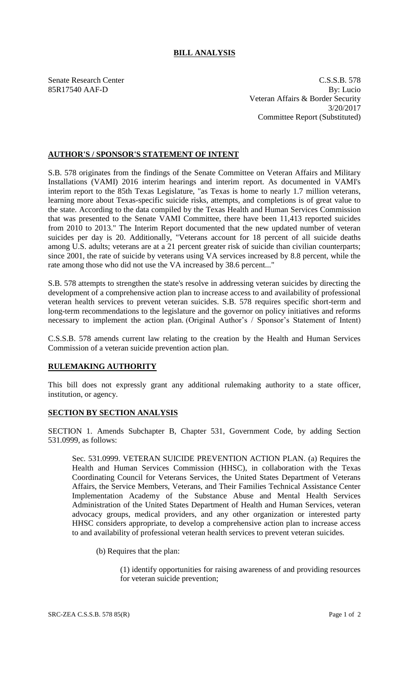## **BILL ANALYSIS**

Senate Research Center C.S.S.B. 578 85R17540 AAF-D By: Lucio Veteran Affairs & Border Security 3/20/2017 Committee Report (Substituted)

## **AUTHOR'S / SPONSOR'S STATEMENT OF INTENT**

S.B. 578 originates from the findings of the Senate Committee on Veteran Affairs and Military Installations (VAMI) 2016 interim hearings and interim report. As documented in VAMI's interim report to the 85th Texas Legislature, "as Texas is home to nearly 1.7 million veterans, learning more about Texas-specific suicide risks, attempts, and completions is of great value to the state. According to the data compiled by the Texas Health and Human Services Commission that was presented to the Senate VAMI Committee, there have been 11,413 reported suicides from 2010 to 2013." The Interim Report documented that the new updated number of veteran suicides per day is 20. Additionally, "Veterans account for 18 percent of all suicide deaths among U.S. adults; veterans are at a 21 percent greater risk of suicide than civilian counterparts; since 2001, the rate of suicide by veterans using VA services increased by 8.8 percent, while the rate among those who did not use the VA increased by 38.6 percent..."

S.B. 578 attempts to strengthen the state's resolve in addressing veteran suicides by directing the development of a comprehensive action plan to increase access to and availability of professional veteran health services to prevent veteran suicides. S.B. 578 requires specific short-term and long-term recommendations to the legislature and the governor on policy initiatives and reforms necessary to implement the action plan. (Original Author's / Sponsor's Statement of Intent)

C.S.S.B. 578 amends current law relating to the creation by the Health and Human Services Commission of a veteran suicide prevention action plan.

## **RULEMAKING AUTHORITY**

This bill does not expressly grant any additional rulemaking authority to a state officer, institution, or agency.

## **SECTION BY SECTION ANALYSIS**

SECTION 1. Amends Subchapter B, Chapter 531, Government Code, by adding Section 531.0999, as follows:

Sec. 531.0999. VETERAN SUICIDE PREVENTION ACTION PLAN. (a) Requires the Health and Human Services Commission (HHSC), in collaboration with the Texas Coordinating Council for Veterans Services, the United States Department of Veterans Affairs, the Service Members, Veterans, and Their Families Technical Assistance Center Implementation Academy of the Substance Abuse and Mental Health Services Administration of the United States Department of Health and Human Services, veteran advocacy groups, medical providers, and any other organization or interested party HHSC considers appropriate, to develop a comprehensive action plan to increase access to and availability of professional veteran health services to prevent veteran suicides.

(b) Requires that the plan:

(1) identify opportunities for raising awareness of and providing resources for veteran suicide prevention;